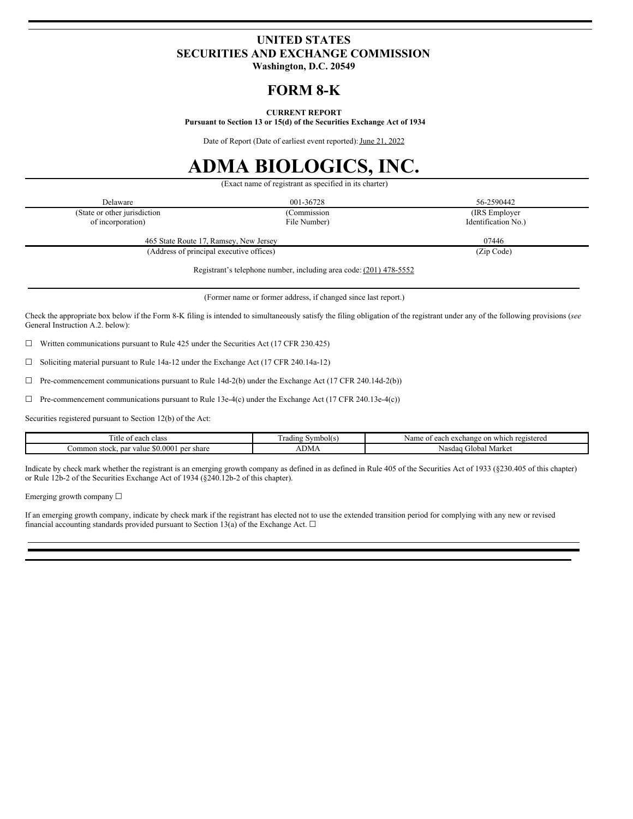# **UNITED STATES SECURITIES AND EXCHANGE COMMISSION**

**Washington, D.C. 20549**

# **FORM 8-K**

## **CURRENT REPORT**

**Pursuant to Section 13 or 15(d) of the Securities Exchange Act of 1934**

Date of Report (Date of earliest event reported): June 21, 2022

# **ADMA BIOLOGICS, INC.**

(Exact name of registrant as specified in its charter)

| Delaware                                 | 001-36728    | 56-2590442          |
|------------------------------------------|--------------|---------------------|
| (State or other jurisdiction)            | (Commission  | (IRS Employer)      |
| of incorporation)                        | File Number) | Identification No.) |
| 465 State Route 17, Ramsey, New Jersey   |              | 07446               |
| (Address of principal executive offices) |              | (Zip Code)          |
|                                          |              |                     |

Registrant's telephone number, including area code: (201) 478-5552

(Former name or former address, if changed since last report.)

Check the appropriate box below if the Form 8-K filing is intended to simultaneously satisfy the filing obligation of the registrant under any of the following provisions (*see* General Instruction A.2. below):

 $\Box$  Written communications pursuant to Rule 425 under the Securities Act (17 CFR 230.425)

☐ Soliciting material pursuant to Rule 14a-12 under the Exchange Act (17 CFR 240.14a-12)

☐ Pre-commencement communications pursuant to Rule 14d-2(b) under the Exchange Act (17 CFR 240.14d-2(b))

 $\Box$  Pre-commencement communications pursuant to Rule 13e-4(c) under the Exchange Act (17 CFR 240.13e-4(c))

Securities registered pursuant to Section 12(b) of the Act:

| itle of<br>n class<br>$\Delta$ 00<br>саст                     | symbol(s)<br>l radıng | v which registered<br>vame<br>u exchange<br>on<br>$\Delta 0$<br>cau |
|---------------------------------------------------------------|-----------------------|---------------------------------------------------------------------|
| \$0,0001<br>per<br>common<br>par<br>valu<br>share<br>. stock. | JM1                   | Global Market<br>Nasdag                                             |

Indicate by check mark whether the registrant is an emerging growth company as defined in as defined in Rule 405 of the Securities Act of 1933 (§230.405 of this chapter) or Rule 12b-2 of the Securities Exchange Act of 1934 (§240.12b-2 of this chapter).

Emerging growth company  $\Box$ 

If an emerging growth company, indicate by check mark if the registrant has elected not to use the extended transition period for complying with any new or revised financial accounting standards provided pursuant to Section 13(a) of the Exchange Act.  $\Box$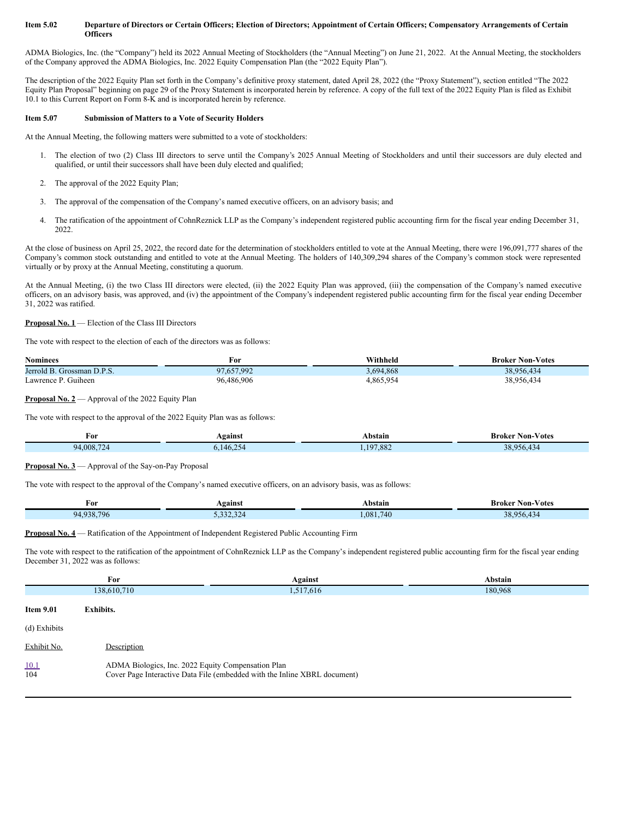#### Item 5.02 Departure of Directors or Certain Officers; Election of Directors; Appointment of Certain Officers; Compensatory Arrangements of Certain **Officers**

ADMA Biologics, Inc. (the "Company") held its 2022 Annual Meeting of Stockholders (the "Annual Meeting") on June 21, 2022. At the Annual Meeting, the stockholders of the Company approved the ADMA Biologics, Inc. 2022 Equity Compensation Plan (the "2022 Equity Plan").

The description of the 2022 Equity Plan set forth in the Company's definitive proxy statement, dated April 28, 2022 (the "Proxy Statement"), section entitled "The 2022 Equity Plan Proposal" beginning on page 29 of the Proxy Statement is incorporated herein by reference. A copy of the full text of the 2022 Equity Plan is filed as Exhibit 10.1 to this Current Report on Form 8-K and is incorporated herein by reference.

#### **Item 5.07 Submission of Matters to a Vote of Security Holders**

At the Annual Meeting, the following matters were submitted to a vote of stockholders:

- 1. The election of two (2) Class III directors to serve until the Company's 2025 Annual Meeting of Stockholders and until their successors are duly elected and qualified, or until their successors shall have been duly elected and qualified;
- 2. The approval of the 2022 Equity Plan;
- 3. The approval of the compensation of the Company's named executive officers, on an advisory basis; and
- 4. The ratification of the appointment of CohnReznick LLP as the Company's independent registered public accounting firm for the fiscal year ending December 31, 2022.

At the close of business on April 25, 2022, the record date for the determination of stockholders entitled to vote at the Annual Meeting, there were 196,091,777 shares of the Company's common stock outstanding and entitled to vote at the Annual Meeting. The holders of 140,309,294 shares of the Company's common stock were represented virtually or by proxy at the Annual Meeting, constituting a quorum.

At the Annual Meeting, (i) the two Class III directors were elected, (ii) the 2022 Equity Plan was approved, (iii) the compensation of the Company's named executive officers, on an advisory basis, was approved, and (iv) the appointment of the Company's independent registered public accounting firm for the fiscal year ending December 31, 2022 was ratified.

# **Proposal No. 1** — Election of the Class III Directors

The vote with respect to the election of each of the directors was as follows:

| <b>Nominees</b>            | For        | Withheld  | <b>Broker Non-Votes</b> |
|----------------------------|------------|-----------|-------------------------|
| Jerrold B. Grossman D.P.S. | 97.657.992 | 3,694,868 | 38.956.434              |
| Lawrence P. Guiheen        | 96.486.906 | 4,865,954 | 38,956,434              |

### **Proposal No. 2** — Approval of the 2022 Equity Plan

The vote with respect to the approval of the 2022 Equity Plan was as follows:

| For        | <b>Painst</b>               | Abstain           | Mon-Votes<br>Broker                         |
|------------|-----------------------------|-------------------|---------------------------------------------|
| 94,008,724 | $\cap$ $\subset$<br>AE<br>. | 107.882<br>200، ا | $\sqrt{2}$<br>ን0 ሰድ<br>$\sim$ $\sim$ $\sim$ |

#### **Proposal No. 3** — Approval of the Say-on-Pay Proposal

The vote with respect to the approval of the Company's named executive officers, on an advisory basis, was as follows:

| For        | <b>\gainst</b>     | Abstain  | <b>Non-Votes</b><br>Broker |
|------------|--------------------|----------|----------------------------|
| 94.938.796 | 22222<br>5.332.324 | .081.740 | 28956.434                  |

## **Proposal No. 4** — Ratification of the Appointment of Independent Registered Public Accounting Firm

The vote with respect to the ratification of the appointment of CohnReznick LLP as the Company's independent registered public accounting firm for the fiscal year ending December 31, 2022 was as follows:

|                  | For                                                | Against                                                                   | Abstain |
|------------------|----------------------------------------------------|---------------------------------------------------------------------------|---------|
|                  | 138,610,710                                        | 1,517,616                                                                 | 180,968 |
| <b>Item 9.01</b> | Exhibits.                                          |                                                                           |         |
| (d) Exhibits     |                                                    |                                                                           |         |
| Exhibit No.      | Description                                        |                                                                           |         |
| 10.1<br>104      | ADMA Biologics, Inc. 2022 Equity Compensation Plan | Cover Page Interactive Data File (embedded with the Inline XBRL document) |         |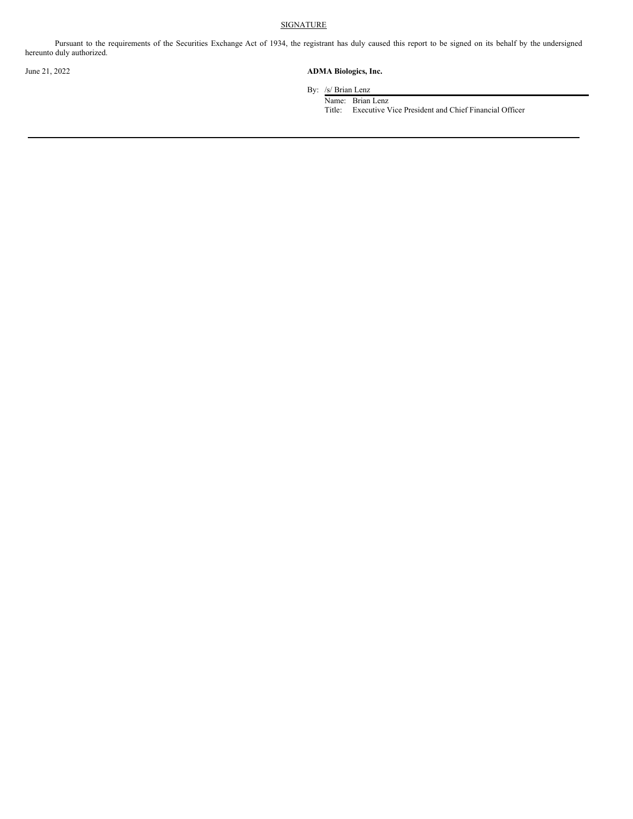# **SIGNATURE**

Pursuant to the requirements of the Securities Exchange Act of 1934, the registrant has duly caused this report to be signed on its behalf by the undersigned hereunto duly authorized.

# June 21, 2022 **ADMA Biologics, Inc.**

By: /s/ Brian Lenz

Name: Brian Lenz

Title: Executive Vice President and Chief Financial Officer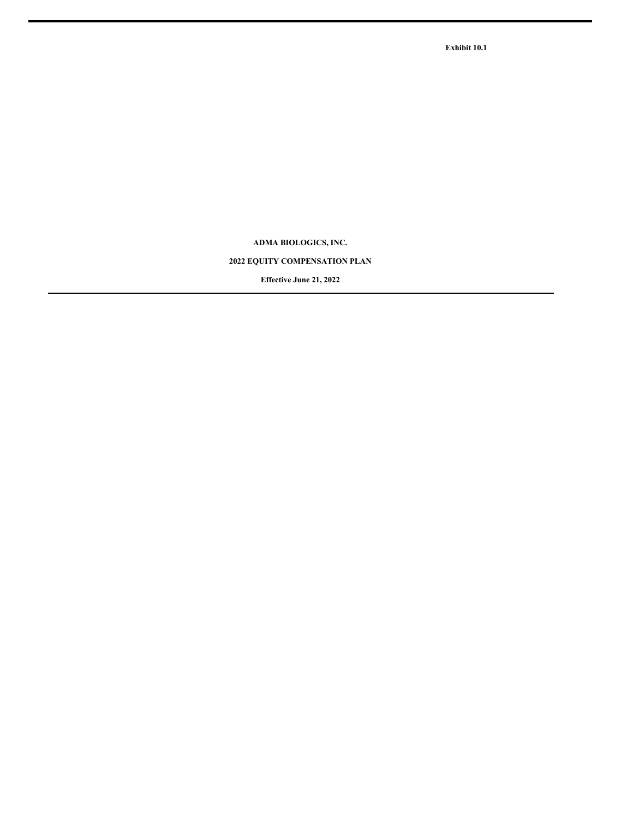**Exhibit 10.1**

**ADMA BIOLOGICS, INC.**

# **2022 EQUITY COMPENSATION PLAN**

**Effective June 21, 2022**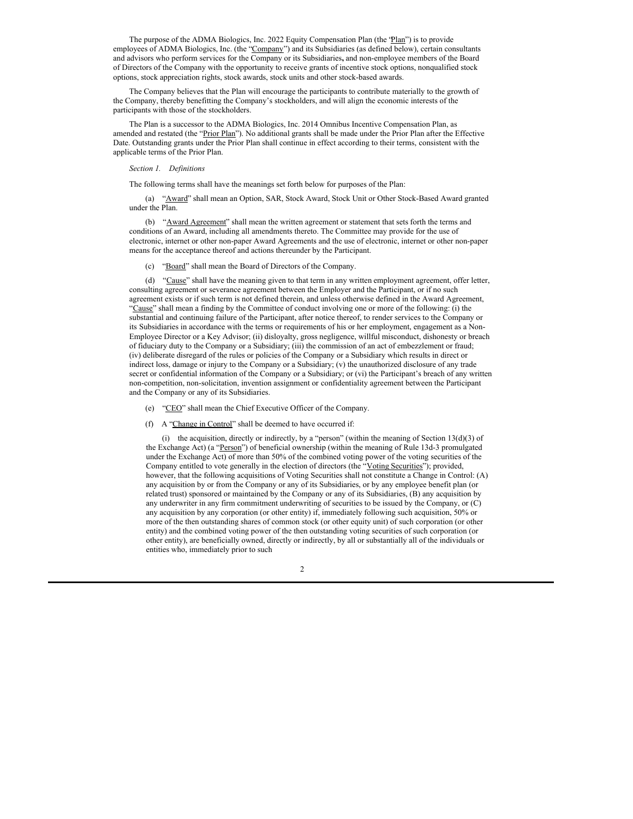The purpose of the ADMA Biologics, Inc. 2022 Equity Compensation Plan (the 'Plan'') is to provide employees of ADMA Biologics, Inc. (the "Company") and its Subsidiaries (as defined below), certain consultants and advisors who perform services for the Company or its Subsidiaries**,** and non-employee members of the Board of Directors of the Company with the opportunity to receive grants of incentive stock options, nonqualified stock options, stock appreciation rights, stock awards, stock units and other stock-based awards.

The Company believes that the Plan will encourage the participants to contribute materially to the growth of the Company, thereby benefitting the Company's stockholders, and will align the economic interests of the participants with those of the stockholders.

The Plan is a successor to the ADMA Biologics, Inc. 2014 Omnibus Incentive Compensation Plan, as amended and restated (the "Prior Plan"). No additional grants shall be made under the Prior Plan after the Effective Date. Outstanding grants under the Prior Plan shall continue in effect according to their terms, consistent with the applicable terms of the Prior Plan.

#### *Section 1. Definitions*

The following terms shall have the meanings set forth below for purposes of the Plan:

(a) "Award" shall mean an Option, SAR, Stock Award, Stock Unit or Other Stock-Based Award granted under the Plan.

(b) "Award Agreement" shall mean the written agreement or statement that sets forth the terms and conditions of an Award, including all amendments thereto. The Committee may provide for the use of electronic, internet or other non-paper Award Agreements and the use of electronic, internet or other non-paper means for the acceptance thereof and actions thereunder by the Participant.

(c) "Board" shall mean the Board of Directors of the Company.

(d) "Cause" shall have the meaning given to that term in any written employment agreement, offer letter, consulting agreement or severance agreement between the Employer and the Participant, or if no such agreement exists or if such term is not defined therein, and unless otherwise defined in the Award Agreement, "Cause" shall mean a finding by the Committee of conduct involving one or more of the following: (i) the substantial and continuing failure of the Participant, after notice thereof, to render services to the Company or its Subsidiaries in accordance with the terms or requirements of his or her employment, engagement as a Non-Employee Director or a Key Advisor; (ii) disloyalty, gross negligence, willful misconduct, dishonesty or breach of fiduciary duty to the Company or a Subsidiary; (iii) the commission of an act of embezzlement or fraud; (iv) deliberate disregard of the rules or policies of the Company or a Subsidiary which results in direct or indirect loss, damage or injury to the Company or a Subsidiary; (v) the unauthorized disclosure of any trade secret or confidential information of the Company or a Subsidiary; or (vi) the Participant's breach of any written non-competition, non-solicitation, invention assignment or confidentiality agreement between the Participant and the Company or any of its Subsidiaries.

- (e) "CEO" shall mean the Chief Executive Officer of the Company.
- (f) A "Change in Control" shall be deemed to have occurred if:

(i) the acquisition, directly or indirectly, by a "person" (within the meaning of Section 13(d)(3) of the Exchange Act) (a "Person") of beneficial ownership (within the meaning of Rule 13d-3 promulgated under the Exchange Act) of more than 50% of the combined voting power of the voting securities of the Company entitled to vote generally in the election of directors (the "Voting Securities"); provided, however, that the following acquisitions of Voting Securities shall not constitute a Change in Control: (A) any acquisition by or from the Company or any of its Subsidiaries, or by any employee benefit plan (or related trust) sponsored or maintained by the Company or any of its Subsidiaries, (B) any acquisition by any underwriter in any firm commitment underwriting of securities to be issued by the Company, or (C) any acquisition by any corporation (or other entity) if, immediately following such acquisition, 50% or more of the then outstanding shares of common stock (or other equity unit) of such corporation (or other entity) and the combined voting power of the then outstanding voting securities of such corporation (or other entity), are beneficially owned, directly or indirectly, by all or substantially all of the individuals or entities who, immediately prior to such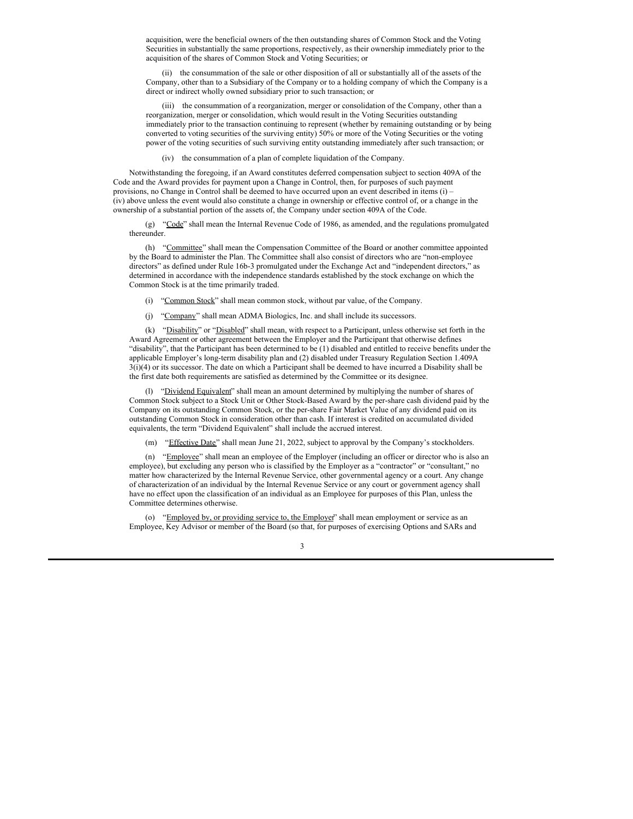acquisition, were the beneficial owners of the then outstanding shares of Common Stock and the Voting Securities in substantially the same proportions, respectively, as their ownership immediately prior to the acquisition of the shares of Common Stock and Voting Securities; or

(ii) the consummation of the sale or other disposition of all or substantially all of the assets of the Company, other than to a Subsidiary of the Company or to a holding company of which the Company is a direct or indirect wholly owned subsidiary prior to such transaction; or

(iii) the consummation of a reorganization, merger or consolidation of the Company, other than a reorganization, merger or consolidation, which would result in the Voting Securities outstanding immediately prior to the transaction continuing to represent (whether by remaining outstanding or by being converted to voting securities of the surviving entity) 50% or more of the Voting Securities or the voting power of the voting securities of such surviving entity outstanding immediately after such transaction; or

(iv) the consummation of a plan of complete liquidation of the Company.

Notwithstanding the foregoing, if an Award constitutes deferred compensation subject to section 409A of the Code and the Award provides for payment upon a Change in Control, then, for purposes of such payment provisions, no Change in Control shall be deemed to have occurred upon an event described in items (i) – (iv) above unless the event would also constitute a change in ownership or effective control of, or a change in the ownership of a substantial portion of the assets of, the Company under section 409A of the Code.

(g) "Code" shall mean the Internal Revenue Code of 1986, as amended, and the regulations promulgated thereunder.

(h) "Committee" shall mean the Compensation Committee of the Board or another committee appointed by the Board to administer the Plan. The Committee shall also consist of directors who are "non-employee directors" as defined under Rule 16b-3 promulgated under the Exchange Act and "independent directors," as determined in accordance with the independence standards established by the stock exchange on which the Common Stock is at the time primarily traded.

(i) "Common Stock" shall mean common stock, without par value, of the Company.

(j) "Company" shall mean ADMA Biologics, Inc. and shall include its successors.

(k) "Disability" or "Disabled" shall mean, with respect to a Participant, unless otherwise set forth in the Award Agreement or other agreement between the Employer and the Participant that otherwise defines "disability", that the Participant has been determined to be (1) disabled and entitled to receive benefits under the applicable Employer's long-term disability plan and (2) disabled under Treasury Regulation Section 1.409A 3(i)(4) or its successor. The date on which a Participant shall be deemed to have incurred a Disability shall be the first date both requirements are satisfied as determined by the Committee or its designee.

(l) "Dividend Equivalent" shall mean an amount determined by multiplying the number of shares of Common Stock subject to a Stock Unit or Other Stock-Based Award by the per-share cash dividend paid by the Company on its outstanding Common Stock, or the per-share Fair Market Value of any dividend paid on its outstanding Common Stock in consideration other than cash. If interest is credited on accumulated divided equivalents, the term "Dividend Equivalent" shall include the accrued interest.

(m) "Effective Date" shall mean June 21, 2022, subject to approval by the Company's stockholders.

(n) "Employee" shall mean an employee of the Employer (including an officer or director who is also an employee), but excluding any person who is classified by the Employer as a "contractor" or "consultant," no matter how characterized by the Internal Revenue Service, other governmental agency or a court. Any change of characterization of an individual by the Internal Revenue Service or any court or government agency shall have no effect upon the classification of an individual as an Employee for purposes of this Plan, unless the Committee determines otherwise.

(o) "Employed by, or providing service to, the Employer" shall mean employment or service as an Employee, Key Advisor or member of the Board (so that, for purposes of exercising Options and SARs and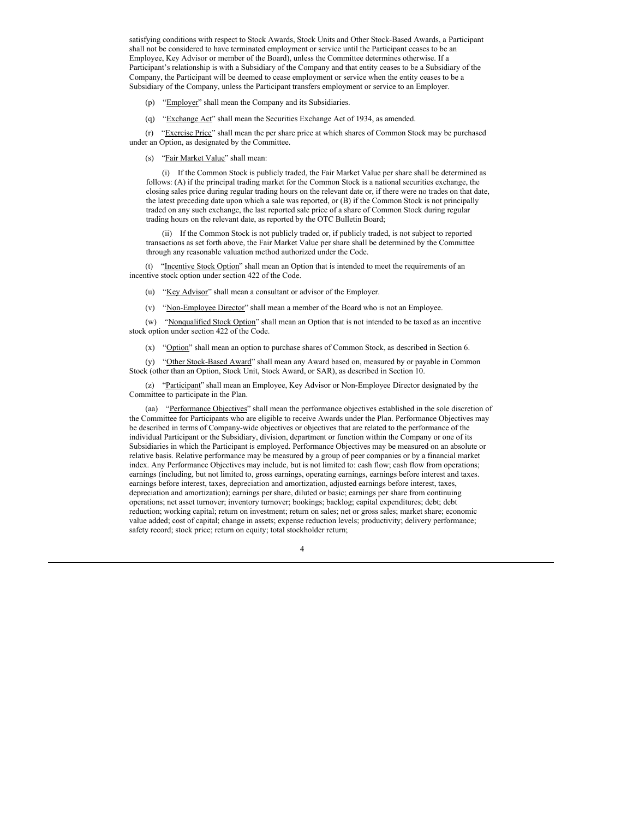satisfying conditions with respect to Stock Awards, Stock Units and Other Stock-Based Awards, a Participant shall not be considered to have terminated employment or service until the Participant ceases to be an Employee, Key Advisor or member of the Board), unless the Committee determines otherwise. If a Participant's relationship is with a Subsidiary of the Company and that entity ceases to be a Subsidiary of the Company, the Participant will be deemed to cease employment or service when the entity ceases to be a Subsidiary of the Company, unless the Participant transfers employment or service to an Employer.

- (p) "Employer" shall mean the Company and its Subsidiaries.
- (q) "Exchange Act" shall mean the Securities Exchange Act of 1934, as amended.

(r) "Exercise Price" shall mean the per share price at which shares of Common Stock may be purchased under an Option, as designated by the Committee.

(s) "Fair Market Value" shall mean:

(i) If the Common Stock is publicly traded, the Fair Market Value per share shall be determined as follows: (A) if the principal trading market for the Common Stock is a national securities exchange, the closing sales price during regular trading hours on the relevant date or, if there were no trades on that date, the latest preceding date upon which a sale was reported, or (B) if the Common Stock is not principally traded on any such exchange, the last reported sale price of a share of Common Stock during regular trading hours on the relevant date, as reported by the OTC Bulletin Board;

(ii) If the Common Stock is not publicly traded or, if publicly traded, is not subject to reported transactions as set forth above, the Fair Market Value per share shall be determined by the Committee through any reasonable valuation method authorized under the Code.

(t) "Incentive Stock Option" shall mean an Option that is intended to meet the requirements of an incentive stock option under section 422 of the Code.

(u) "Key Advisor" shall mean a consultant or advisor of the Employer.

(v) "Non-Employee Director" shall mean a member of the Board who is not an Employee.

(w) "Nonqualified Stock Option" shall mean an Option that is not intended to be taxed as an incentive stock option under section 422 of the Code.

(x) "Option" shall mean an option to purchase shares of Common Stock, as described in Section 6.

(y) "Other Stock-Based Award" shall mean any Award based on, measured by or payable in Common Stock (other than an Option, Stock Unit, Stock Award, or SAR), as described in Section 10.

(z) "Participant" shall mean an Employee, Key Advisor or Non-Employee Director designated by the Committee to participate in the Plan.

(aa) "Performance Objectives" shall mean the performance objectives established in the sole discretion of the Committee for Participants who are eligible to receive Awards under the Plan. Performance Objectives may be described in terms of Company-wide objectives or objectives that are related to the performance of the individual Participant or the Subsidiary, division, department or function within the Company or one of its Subsidiaries in which the Participant is employed. Performance Objectives may be measured on an absolute or relative basis. Relative performance may be measured by a group of peer companies or by a financial market index. Any Performance Objectives may include, but is not limited to: cash flow; cash flow from operations; earnings (including, but not limited to, gross earnings, operating earnings, earnings before interest and taxes. earnings before interest, taxes, depreciation and amortization, adjusted earnings before interest, taxes, depreciation and amortization); earnings per share, diluted or basic; earnings per share from continuing operations; net asset turnover; inventory turnover; bookings; backlog; capital expenditures; debt; debt reduction; working capital; return on investment; return on sales; net or gross sales; market share; economic value added; cost of capital; change in assets; expense reduction levels; productivity; delivery performance; safety record; stock price; return on equity; total stockholder return;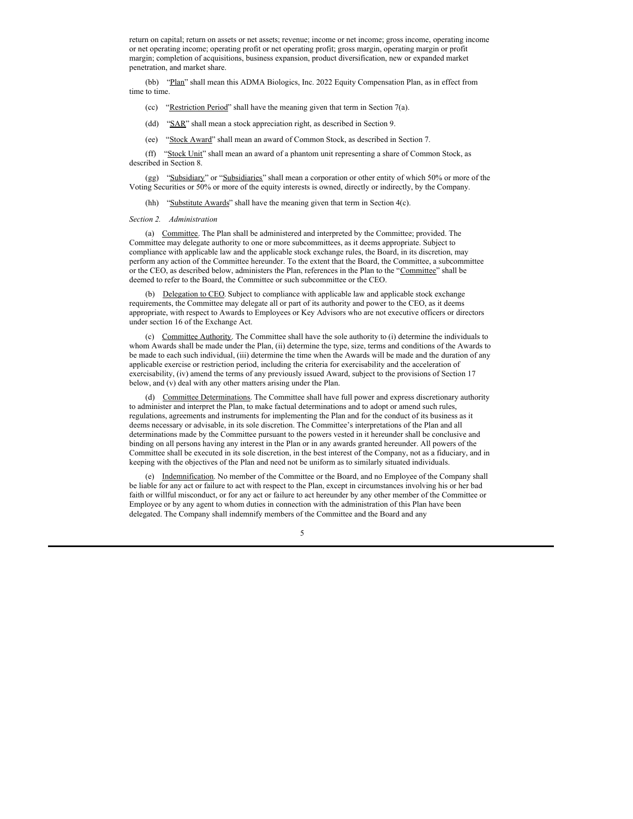return on capital; return on assets or net assets; revenue; income or net income; gross income, operating income or net operating income; operating profit or net operating profit; gross margin, operating margin or profit margin; completion of acquisitions, business expansion, product diversification, new or expanded market penetration, and market share.

(bb) "Plan" shall mean this ADMA Biologics, Inc. 2022 Equity Compensation Plan, as in effect from time to time.

- (cc) "Restriction Period" shall have the meaning given that term in Section 7(a).
- (dd) "SAR" shall mean a stock appreciation right, as described in Section 9.
- (ee) "Stock Award" shall mean an award of Common Stock, as described in Section 7.

(ff) "Stock Unit" shall mean an award of a phantom unit representing a share of Common Stock, as described in Section 8.

(gg) "Subsidiary" or "Subsidiaries" shall mean a corporation or other entity of which 50% or more of the Voting Securities or 50% or more of the equity interests is owned, directly or indirectly, by the Company.

(hh) "Substitute Awards" shall have the meaning given that term in Section 4(c).

*Section 2. Administration*

(a) Committee. The Plan shall be administered and interpreted by the Committee; provided. The Committee may delegate authority to one or more subcommittees, as it deems appropriate. Subject to compliance with applicable law and the applicable stock exchange rules, the Board, in its discretion, may perform any action of the Committee hereunder. To the extent that the Board, the Committee, a subcommittee or the CEO, as described below, administers the Plan, references in the Plan to the "Committee" shall be deemed to refer to the Board, the Committee or such subcommittee or the CEO.

(b) Delegation to CEO. Subject to compliance with applicable law and applicable stock exchange requirements, the Committee may delegate all or part of its authority and power to the CEO, as it deems appropriate, with respect to Awards to Employees or Key Advisors who are not executive officers or directors under section 16 of the Exchange Act.

(c) Committee Authority. The Committee shall have the sole authority to (i) determine the individuals to whom Awards shall be made under the Plan, (ii) determine the type, size, terms and conditions of the Awards to be made to each such individual, (iii) determine the time when the Awards will be made and the duration of any applicable exercise or restriction period, including the criteria for exercisability and the acceleration of exercisability, (iv) amend the terms of any previously issued Award, subject to the provisions of Section 17 below, and (v) deal with any other matters arising under the Plan.

(d) Committee Determinations. The Committee shall have full power and express discretionary authority to administer and interpret the Plan, to make factual determinations and to adopt or amend such rules, regulations, agreements and instruments for implementing the Plan and for the conduct of its business as it deems necessary or advisable, in its sole discretion. The Committee's interpretations of the Plan and all determinations made by the Committee pursuant to the powers vested in it hereunder shall be conclusive and binding on all persons having any interest in the Plan or in any awards granted hereunder. All powers of the Committee shall be executed in its sole discretion, in the best interest of the Company, not as a fiduciary, and in keeping with the objectives of the Plan and need not be uniform as to similarly situated individuals.

(e) Indemnification. No member of the Committee or the Board, and no Employee of the Company shall be liable for any act or failure to act with respect to the Plan, except in circumstances involving his or her bad faith or willful misconduct, or for any act or failure to act hereunder by any other member of the Committee or Employee or by any agent to whom duties in connection with the administration of this Plan have been delegated. The Company shall indemnify members of the Committee and the Board and any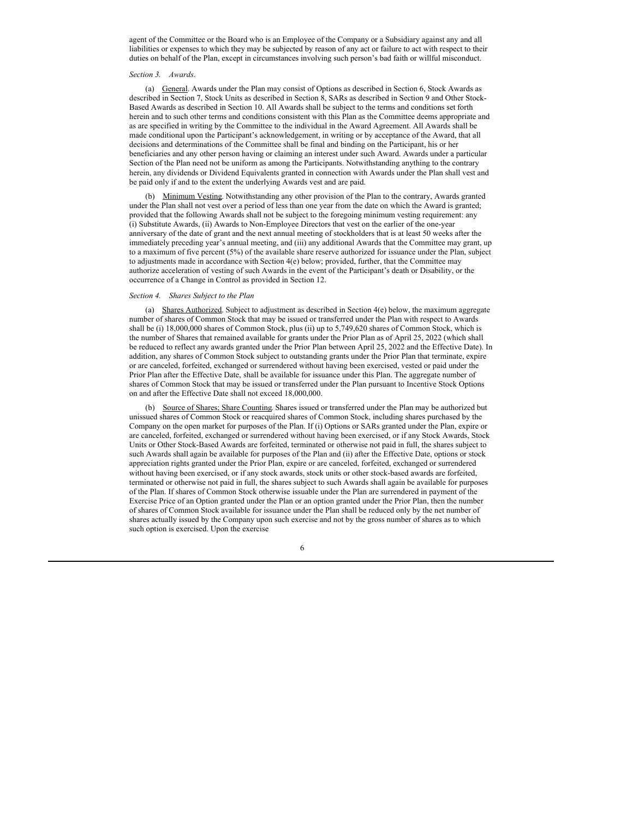agent of the Committee or the Board who is an Employee of the Company or a Subsidiary against any and all liabilities or expenses to which they may be subjected by reason of any act or failure to act with respect to their duties on behalf of the Plan, except in circumstances involving such person's bad faith or willful misconduct.

#### *Section 3. Awards*.

(a) General. Awards under the Plan may consist of Options as described in Section 6, Stock Awards as described in Section 7, Stock Units as described in Section 8, SARs as described in Section 9 and Other Stock-Based Awards as described in Section 10. All Awards shall be subject to the terms and conditions set forth herein and to such other terms and conditions consistent with this Plan as the Committee deems appropriate and as are specified in writing by the Committee to the individual in the Award Agreement. All Awards shall be made conditional upon the Participant's acknowledgement, in writing or by acceptance of the Award, that all decisions and determinations of the Committee shall be final and binding on the Participant, his or her beneficiaries and any other person having or claiming an interest under such Award. Awards under a particular Section of the Plan need not be uniform as among the Participants. Notwithstanding anything to the contrary herein, any dividends or Dividend Equivalents granted in connection with Awards under the Plan shall vest and be paid only if and to the extent the underlying Awards vest and are paid.

(b) Minimum Vesting. Notwithstanding any other provision of the Plan to the contrary, Awards granted under the Plan shall not vest over a period of less than one year from the date on which the Award is granted; provided that the following Awards shall not be subject to the foregoing minimum vesting requirement: any (i) Substitute Awards, (ii) Awards to Non-Employee Directors that vest on the earlier of the one-year anniversary of the date of grant and the next annual meeting of stockholders that is at least 50 weeks after the immediately preceding year's annual meeting, and (iii) any additional Awards that the Committee may grant, up to a maximum of five percent (5%) of the available share reserve authorized for issuance under the Plan, subject to adjustments made in accordance with Section 4(e) below; provided, further, that the Committee may authorize acceleration of vesting of such Awards in the event of the Participant's death or Disability, or the occurrence of a Change in Control as provided in Section 12.

#### *Section 4. Shares Subject to the Plan*

(a) Shares Authorized. Subject to adjustment as described in Section  $4(e)$  below, the maximum aggregate number of shares of Common Stock that may be issued or transferred under the Plan with respect to Awards shall be (i) 18,000,000 shares of Common Stock, plus (ii) up to 5,749,620 shares of Common Stock, which is the number of Shares that remained available for grants under the Prior Plan as of April 25, 2022 (which shall be reduced to reflect any awards granted under the Prior Plan between April 25, 2022 and the Effective Date). In addition, any shares of Common Stock subject to outstanding grants under the Prior Plan that terminate, expire or are canceled, forfeited, exchanged or surrendered without having been exercised, vested or paid under the Prior Plan after the Effective Date, shall be available for issuance under this Plan. The aggregate number of shares of Common Stock that may be issued or transferred under the Plan pursuant to Incentive Stock Options on and after the Effective Date shall not exceed 18,000,000.

(b) Source of Shares; Share Counting. Shares issued or transferred under the Plan may be authorized but unissued shares of Common Stock or reacquired shares of Common Stock, including shares purchased by the Company on the open market for purposes of the Plan. If (i) Options or SARs granted under the Plan, expire or are canceled, forfeited, exchanged or surrendered without having been exercised, or if any Stock Awards, Stock Units or Other Stock-Based Awards are forfeited, terminated or otherwise not paid in full, the shares subject to such Awards shall again be available for purposes of the Plan and (ii) after the Effective Date, options or stock appreciation rights granted under the Prior Plan, expire or are canceled, forfeited, exchanged or surrendered without having been exercised, or if any stock awards, stock units or other stock-based awards are forfeited, terminated or otherwise not paid in full, the shares subject to such Awards shall again be available for purposes of the Plan. If shares of Common Stock otherwise issuable under the Plan are surrendered in payment of the Exercise Price of an Option granted under the Plan or an option granted under the Prior Plan, then the number of shares of Common Stock available for issuance under the Plan shall be reduced only by the net number of shares actually issued by the Company upon such exercise and not by the gross number of shares as to which such option is exercised. Upon the exercise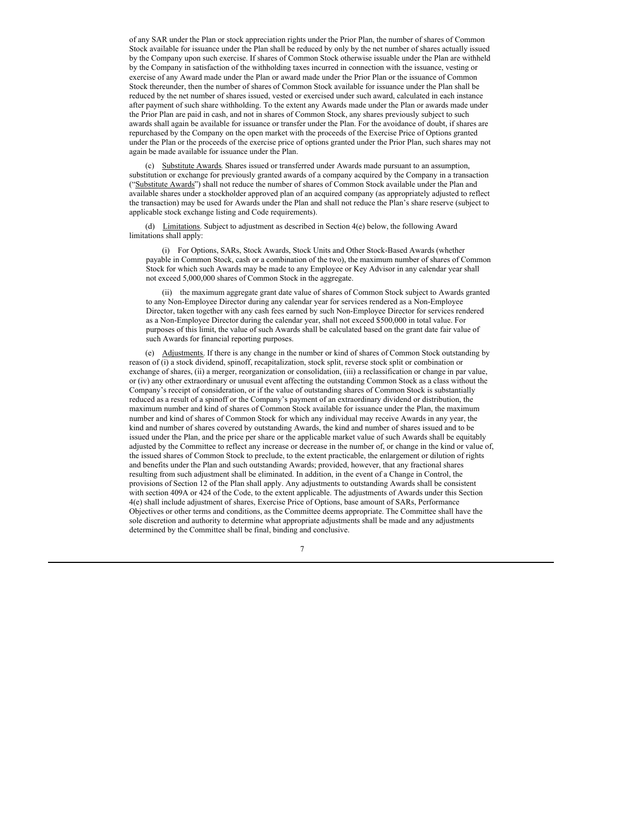of any SAR under the Plan or stock appreciation rights under the Prior Plan, the number of shares of Common Stock available for issuance under the Plan shall be reduced by only by the net number of shares actually issued by the Company upon such exercise. If shares of Common Stock otherwise issuable under the Plan are withheld by the Company in satisfaction of the withholding taxes incurred in connection with the issuance, vesting or exercise of any Award made under the Plan or award made under the Prior Plan or the issuance of Common Stock thereunder, then the number of shares of Common Stock available for issuance under the Plan shall be reduced by the net number of shares issued, vested or exercised under such award, calculated in each instance after payment of such share withholding. To the extent any Awards made under the Plan or awards made under the Prior Plan are paid in cash, and not in shares of Common Stock, any shares previously subject to such awards shall again be available for issuance or transfer under the Plan. For the avoidance of doubt, if shares are repurchased by the Company on the open market with the proceeds of the Exercise Price of Options granted under the Plan or the proceeds of the exercise price of options granted under the Prior Plan, such shares may not again be made available for issuance under the Plan.

(c) Substitute Awards. Shares issued or transferred under Awards made pursuant to an assumption, substitution or exchange for previously granted awards of a company acquired by the Company in a transaction ("Substitute Awards") shall not reduce the number of shares of Common Stock available under the Plan and available shares under a stockholder approved plan of an acquired company (as appropriately adjusted to reflect the transaction) may be used for Awards under the Plan and shall not reduce the Plan's share reserve (subject to applicable stock exchange listing and Code requirements).

(d) Limitations. Subject to adjustment as described in Section 4(e) below, the following Award limitations shall apply:

(i) For Options, SARs, Stock Awards, Stock Units and Other Stock-Based Awards (whether payable in Common Stock, cash or a combination of the two), the maximum number of shares of Common Stock for which such Awards may be made to any Employee or Key Advisor in any calendar year shall not exceed 5,000,000 shares of Common Stock in the aggregate.

(ii) the maximum aggregate grant date value of shares of Common Stock subject to Awards granted to any Non-Employee Director during any calendar year for services rendered as a Non-Employee Director, taken together with any cash fees earned by such Non-Employee Director for services rendered as a Non-Employee Director during the calendar year, shall not exceed \$500,000 in total value. For purposes of this limit, the value of such Awards shall be calculated based on the grant date fair value of such Awards for financial reporting purposes.

(e) Adjustments. If there is any change in the number or kind of shares of Common Stock outstanding by reason of (i) a stock dividend, spinoff, recapitalization, stock split, reverse stock split or combination or exchange of shares, (ii) a merger, reorganization or consolidation, (iii) a reclassification or change in par value, or (iv) any other extraordinary or unusual event affecting the outstanding Common Stock as a class without the Company's receipt of consideration, or if the value of outstanding shares of Common Stock is substantially reduced as a result of a spinoff or the Company's payment of an extraordinary dividend or distribution, the maximum number and kind of shares of Common Stock available for issuance under the Plan, the maximum number and kind of shares of Common Stock for which any individual may receive Awards in any year, the kind and number of shares covered by outstanding Awards, the kind and number of shares issued and to be issued under the Plan, and the price per share or the applicable market value of such Awards shall be equitably adjusted by the Committee to reflect any increase or decrease in the number of, or change in the kind or value of, the issued shares of Common Stock to preclude, to the extent practicable, the enlargement or dilution of rights and benefits under the Plan and such outstanding Awards; provided, however, that any fractional shares resulting from such adjustment shall be eliminated. In addition, in the event of a Change in Control, the provisions of Section 12 of the Plan shall apply. Any adjustments to outstanding Awards shall be consistent with section 409A or 424 of the Code, to the extent applicable. The adjustments of Awards under this Section 4(e) shall include adjustment of shares, Exercise Price of Options, base amount of SARs, Performance Objectives or other terms and conditions, as the Committee deems appropriate. The Committee shall have the sole discretion and authority to determine what appropriate adjustments shall be made and any adjustments determined by the Committee shall be final, binding and conclusive.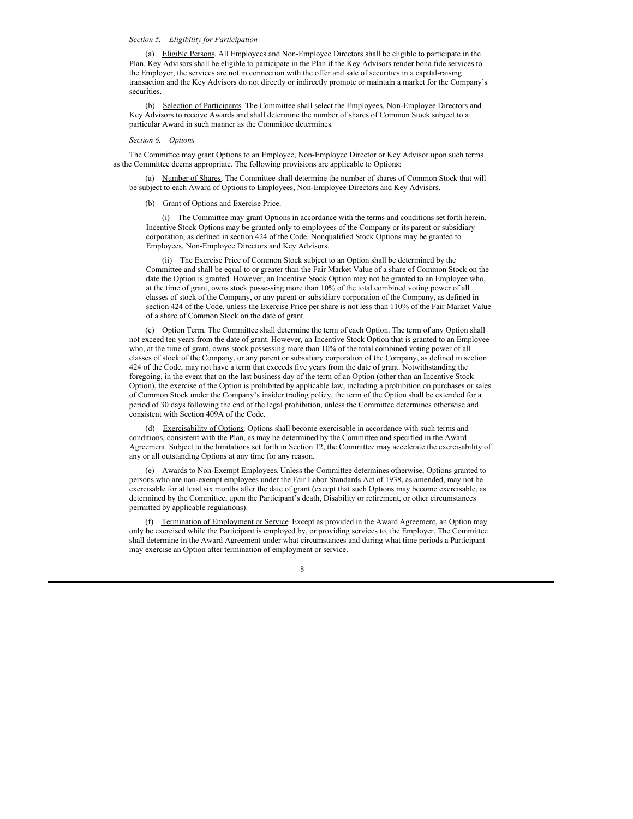#### <span id="page-10-0"></span>*Section 5. Eligibility for Participation*

(a) Eligible Persons. All Employees and Non-Employee Directors shall be eligible to participate in the Plan. Key Advisors shall be eligible to participate in the Plan if the Key Advisors render bona fide services to the Employer, the services are not in connection with the offer and sale of securities in a capital-raising transaction and the Key Advisors do not directly or indirectly promote or maintain a market for the Company's **securities** 

(b) Selection of Participants. The Committee shall select the Employees, Non-Employee Directors and Key Advisors to receive Awards and shall determine the number of shares of Common Stock subject to a particular Award in such manner as the Committee determines.

#### *Section 6. Options*

The Committee may grant Options to an Employee, Non-Employee Director or Key Advisor upon such terms as the Committee deems appropriate. The following provisions are applicable to Options:

(a) Number of Shares. The Committee shall determine the number of shares of Common Stock that will be subject to each Award of Options to Employees, Non-Employee Directors and Key Advisors.

#### (b) Grant of Options and Exercise Price.

(i) The Committee may grant Options in accordance with the terms and conditions set forth herein. Incentive Stock Options may be granted only to employees of the Company or its parent or subsidiary corporation, as defined in section 424 of the Code. Nonqualified Stock Options may be granted to Employees, Non-Employee Directors and Key Advisors.

(ii) The Exercise Price of Common Stock subject to an Option shall be determined by the Committee and shall be equal to or greater than the Fair Market Value of a share of Common Stock on the date the Option is granted. However, an Incentive Stock Option may not be granted to an Employee who, at the time of grant, owns stock possessing more than 10% of the total combined voting power of all classes of stock of the Company, or any parent or subsidiary corporation of the Company, as defined in section 424 of the Code, unless the Exercise Price per share is not less than 110% of the Fair Market Value of a share of Common Stock on the date of grant.

(c) Option Term. The Committee shall determine the term of each Option. The term of any Option shall not exceed ten years from the date of grant. However, an Incentive Stock Option that is granted to an Employee who, at the time of grant, owns stock possessing more than 10% of the total combined voting power of all classes of stock of the Company, or any parent or subsidiary corporation of the Company, as defined in section 424 of the Code, may not have a term that exceeds five years from the date of grant. Notwithstanding the foregoing, in the event that on the last business day of the term of an Option (other than an Incentive Stock Option), the exercise of the Option is prohibited by applicable law, including a prohibition on purchases or sales of Common Stock under the Company's insider trading policy, the term of the Option shall be extended for a period of 30 days following the end of the legal prohibition, unless the Committee determines otherwise and consistent with Section 409A of the Code.

(d) Exercisability of Options. Options shall become exercisable in accordance with such terms and conditions, consistent with the Plan, as may be determined by the Committee and specified in the Award Agreement. Subject to the limitations set forth in Section 12, the Committee may accelerate the exercisability of any or all outstanding Options at any time for any reason.

(e) Awards to Non-Exempt Employees. Unless the Committee determines otherwise, Options granted to persons who are non-exempt employees under the Fair Labor Standards Act of 1938, as amended, may not be exercisable for at least six months after the date of grant (except that such Options may become exercisable, as determined by the Committee, upon the Participant's death, Disability or retirement, or other circumstances permitted by applicable regulations).

(f) Termination of Employment or Service. Except as provided in the Award Agreement, an Option may only be exercised while the Participant is employed by, or providing services to, the Employer. The Committee shall determine in the Award Agreement under what circumstances and during what time periods a Participant may exercise an Option after termination of employment or service.

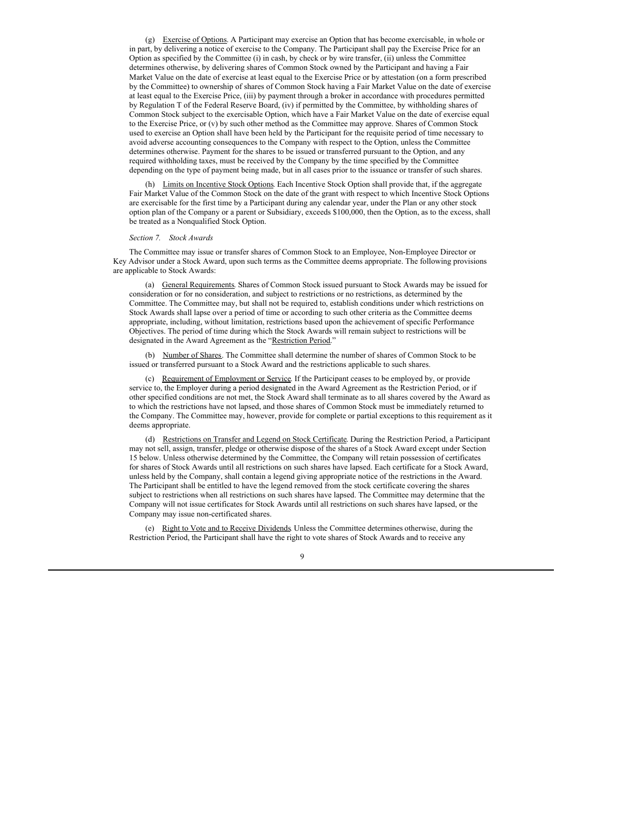(g) Exercise of Options. A Participant may exercise an Option that has become exercisable, in whole or in part, by delivering a notice of exercise to the Company. The Participant shall pay the Exercise Price for an Option as specified by the Committee (i) in cash, by check or by wire transfer, (ii) unless the Committee determines otherwise, by delivering shares of Common Stock owned by the Participant and having a Fair Market Value on the date of exercise at least equal to the Exercise Price or by attestation (on a form prescribed by the Committee) to ownership of shares of Common Stock having a Fair Market Value on the date of exercise at least equal to the Exercise Price, (iii) by payment through a broker in accordance with procedures permitted by Regulation T of the Federal Reserve Board, (iv) if permitted by the Committee, by withholding shares of Common Stock subject to the exercisable Option, which have a Fair Market Value on the date of exercise equal to the Exercise Price, or (v) by such other method as the Committee may approve. Shares of Common Stock used to exercise an Option shall have been held by the Participant for the requisite period of time necessary to avoid adverse accounting consequences to the Company with respect to the Option, unless the Committee determines otherwise. Payment for the shares to be issued or transferred pursuant to the Option, and any required withholding taxes, must be received by the Company by the time specified by the Committee depending on the type of payment being made, but in all cases prior to the issuance or transfer of such shares.

(h) Limits on Incentive Stock Options. Each Incentive Stock Option shall provide that, if the aggregate Fair Market Value of the Common Stock on the date of the grant with respect to which Incentive Stock Options are exercisable for the first time by a Participant during any calendar year, under the Plan or any other stock option plan of the Company or a parent or Subsidiary, exceeds \$100,000, then the Option, as to the excess, shall be treated as a Nonqualified Stock Option.

#### *Section 7. Stock Awards*

The Committee may issue or transfer shares of Common Stock to an Employee, Non-Employee Director or Key Advisor under a Stock Award, upon such terms as the Committee deems appropriate. The following provisions are applicable to Stock Awards:

(a) General Requirements. Shares of Common Stock issued pursuant to Stock Awards may be issued for consideration or for no consideration, and subject to restrictions or no restrictions, as determined by the Committee. The Committee may, but shall not be required to, establish conditions under which restrictions on Stock Awards shall lapse over a period of time or according to such other criteria as the Committee deems appropriate, including, without limitation, restrictions based upon the achievement of specific Performance Objectives. The period of time during which the Stock Awards will remain subject to restrictions will be designated in the Award Agreement as the "Restriction Period."

(b) Number of Shares. The Committee shall determine the number of shares of Common Stock to be issued or transferred pursuant to a Stock Award and the restrictions applicable to such shares.

(c) Requirement of Employment or Service. If the Participant ceases to be employed by, or provide service to, the Employer during a period designated in the Award Agreement as the Restriction Period, or if other specified conditions are not met, the Stock Award shall terminate as to all shares covered by the Award as to which the restrictions have not lapsed, and those shares of Common Stock must be immediately returned to the Company. The Committee may, however, provide for complete or partial exceptions to this requirement as it deems appropriate.

(d) Restrictions on Transfer and Legend on Stock Certificate. During the Restriction Period, a Participant may not sell, assign, transfer, pledge or otherwise dispose of the shares of a Stock Award except under Section 15 below. Unless otherwise determined by the Committee, the Company will retain possession of certificates for shares of Stock Awards until all restrictions on such shares have lapsed. Each certificate for a Stock Award, unless held by the Company, shall contain a legend giving appropriate notice of the restrictions in the Award. The Participant shall be entitled to have the legend removed from the stock certificate covering the shares subject to restrictions when all restrictions on such shares have lapsed. The Committee may determine that the Company will not issue certificates for Stock Awards until all restrictions on such shares have lapsed, or the Company may issue non-certificated shares.

(e) Right to Vote and to Receive Dividends. Unless the Committee determines otherwise, during the Restriction Period, the Participant shall have the right to vote shares of Stock Awards and to receive any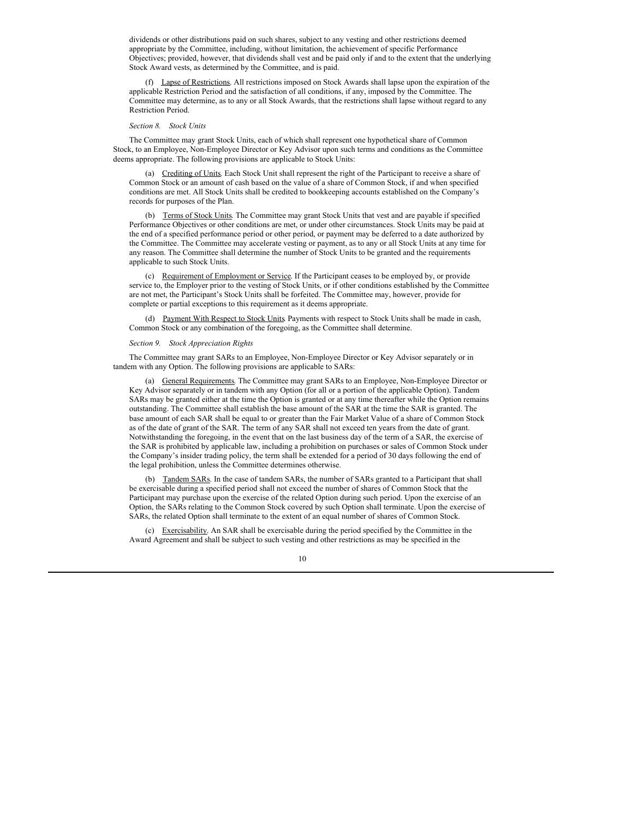dividends or other distributions paid on such shares, subject to any vesting and other restrictions deemed appropriate by the Committee, including, without limitation, the achievement of specific Performance Objectives; provided, however, that dividends shall vest and be paid only if and to the extent that the underlying Stock Award vests, as determined by the Committee, and is paid.

(f) Lapse of Restrictions. All restrictions imposed on Stock Awards shall lapse upon the expiration of the applicable Restriction Period and the satisfaction of all conditions, if any, imposed by the Committee. The Committee may determine, as to any or all Stock Awards, that the restrictions shall lapse without regard to any Restriction Period.

#### *Section 8. Stock Units*

The Committee may grant Stock Units, each of which shall represent one hypothetical share of Common Stock, to an Employee, Non-Employee Director or Key Advisor upon such terms and conditions as the Committee deems appropriate. The following provisions are applicable to Stock Units:

(a) Crediting of Units. Each Stock Unit shall represent the right of the Participant to receive a share of Common Stock or an amount of cash based on the value of a share of Common Stock, if and when specified conditions are met. All Stock Units shall be credited to bookkeeping accounts established on the Company's records for purposes of the Plan.

(b) Terms of Stock Units. The Committee may grant Stock Units that vest and are payable if specified Performance Objectives or other conditions are met, or under other circumstances. Stock Units may be paid at the end of a specified performance period or other period, or payment may be deferred to a date authorized by the Committee. The Committee may accelerate vesting or payment, as to any or all Stock Units at any time for any reason. The Committee shall determine the number of Stock Units to be granted and the requirements applicable to such Stock Units.

(c) Requirement of Employment or Service. If the Participant ceases to be employed by, or provide service to, the Employer prior to the vesting of Stock Units, or if other conditions established by the Committee are not met, the Participant's Stock Units shall be forfeited. The Committee may, however, provide for complete or partial exceptions to this requirement as it deems appropriate.

(d) Payment With Respect to Stock Units. Payments with respect to Stock Units shall be made in cash, Common Stock or any combination of the foregoing, as the Committee shall determine.

#### *Section 9. Stock Appreciation Rights*

The Committee may grant SARs to an Employee, Non-Employee Director or Key Advisor separately or in tandem with any Option. The following provisions are applicable to SARs:

(a) General Requirements. The Committee may grant SARs to an Employee, Non-Employee Director or Key Advisor separately or in tandem with any Option (for all or a portion of the applicable Option). Tandem SARs may be granted either at the time the Option is granted or at any time thereafter while the Option remains outstanding. The Committee shall establish the base amount of the SAR at the time the SAR is granted. The base amount of each SAR shall be equal to or greater than the Fair Market Value of a share of Common Stock as of the date of grant of the SAR. The term of any SAR shall not exceed ten years from the date of grant. Notwithstanding the foregoing, in the event that on the last business day of the term of a SAR, the exercise of the SAR is prohibited by applicable law, including a prohibition on purchases or sales of Common Stock under the Company's insider trading policy, the term shall be extended for a period of 30 days following the end of the legal prohibition, unless the Committee determines otherwise.

(b) Tandem SARs. In the case of tandem SARs, the number of SARs granted to a Participant that shall be exercisable during a specified period shall not exceed the number of shares of Common Stock that the Participant may purchase upon the exercise of the related Option during such period. Upon the exercise of an Option, the SARs relating to the Common Stock covered by such Option shall terminate. Upon the exercise of SARs, the related Option shall terminate to the extent of an equal number of shares of Common Stock.

(c) Exercisability. An SAR shall be exercisable during the period specified by the Committee in the Award Agreement and shall be subject to such vesting and other restrictions as may be specified in the

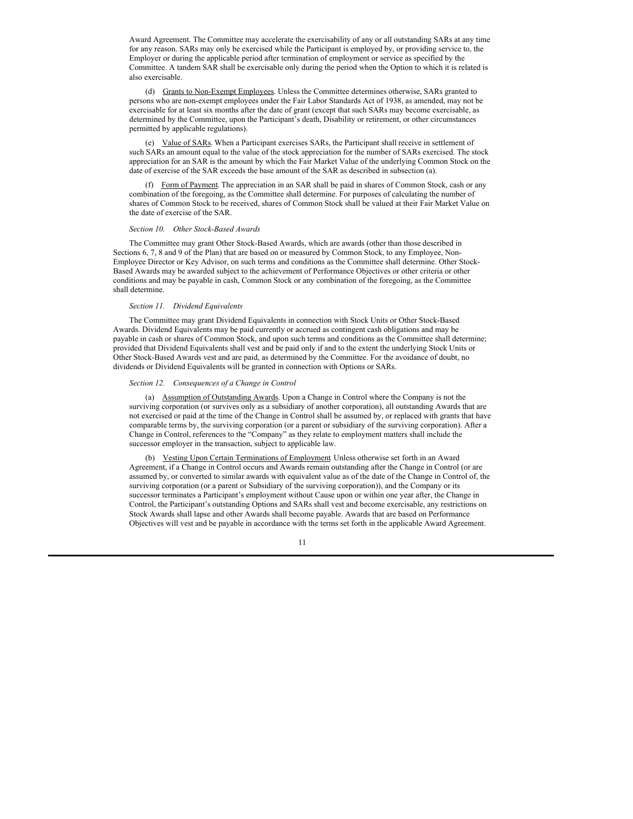Award Agreement. The Committee may accelerate the exercisability of any or all outstanding SARs at any time for any reason. SARs may only be exercised while the Participant is employed by, or providing service to, the Employer or during the applicable period after termination of employment or service as specified by the Committee. A tandem SAR shall be exercisable only during the period when the Option to which it is related is also exercisable.

(d) Grants to Non-Exempt Employees. Unless the Committee determines otherwise, SARs granted to persons who are non-exempt employees under the Fair Labor Standards Act of 1938, as amended, may not be exercisable for at least six months after the date of grant (except that such SARs may become exercisable, as determined by the Committee, upon the Participant's death, Disability or retirement, or other circumstances permitted by applicable regulations).

(e) Value of SARs. When a Participant exercises SARs, the Participant shall receive in settlement of such SARs an amount equal to the value of the stock appreciation for the number of SARs exercised. The stock appreciation for an SAR is the amount by which the Fair Market Value of the underlying Common Stock on the date of exercise of the SAR exceeds the base amount of the SAR as described in subsection (a).

(f) Form of Payment. The appreciation in an SAR shall be paid in shares of Common Stock, cash or any combination of the foregoing, as the Committee shall determine. For purposes of calculating the number of shares of Common Stock to be received, shares of Common Stock shall be valued at their Fair Market Value on the date of exercise of the SAR.

#### *Section 10. Other Stock-Based Awards*

The Committee may grant Other Stock-Based Awards, which are awards (other than those described in Sections 6, 7, 8 and 9 of the Plan) that are based on or measured by Common Stock, to any Employee, Non-Employee Director or Key Advisor, on such terms and conditions as the Committee shall determine. Other Stock-Based Awards may be awarded subject to the achievement of Performance Objectives or other criteria or other conditions and may be payable in cash, Common Stock or any combination of the foregoing, as the Committee shall determine.

#### *Section 11. Dividend Equivalents*

The Committee may grant Dividend Equivalents in connection with Stock Units or Other Stock-Based Awards. Dividend Equivalents may be paid currently or accrued as contingent cash obligations and may be payable in cash or shares of Common Stock, and upon such terms and conditions as the Committee shall determine; provided that Dividend Equivalents shall vest and be paid only if and to the extent the underlying Stock Units or Other Stock-Based Awards vest and are paid, as determined by the Committee. For the avoidance of doubt, no dividends or Dividend Equivalents will be granted in connection with Options or SARs.

#### *Section 12. Consequences of a Change in Control*

(a) Assumption of Outstanding Awards. Upon a Change in Control where the Company is not the surviving corporation (or survives only as a subsidiary of another corporation), all outstanding Awards that are not exercised or paid at the time of the Change in Control shall be assumed by, or replaced with grants that have comparable terms by, the surviving corporation (or a parent or subsidiary of the surviving corporation). After a Change in Control, references to the "Company" as they relate to employment matters shall include the successor employer in the transaction, subject to applicable law.

(b) Vesting Upon Certain Terminations of Employment Unless otherwise set forth in an Award Agreement, if a Change in Control occurs and Awards remain outstanding after the Change in Control (or are assumed by, or converted to similar awards with equivalent value as of the date of the Change in Control of, the surviving corporation (or a parent or Subsidiary of the surviving corporation)), and the Company or its successor terminates a Participant's employment without Cause upon or within one year after, the Change in Control, the Participant's outstanding Options and SARs shall vest and become exercisable, any restrictions on Stock Awards shall lapse and other Awards shall become payable. Awards that are based on Performance Objectives will vest and be payable in accordance with the terms set forth in the applicable Award Agreement.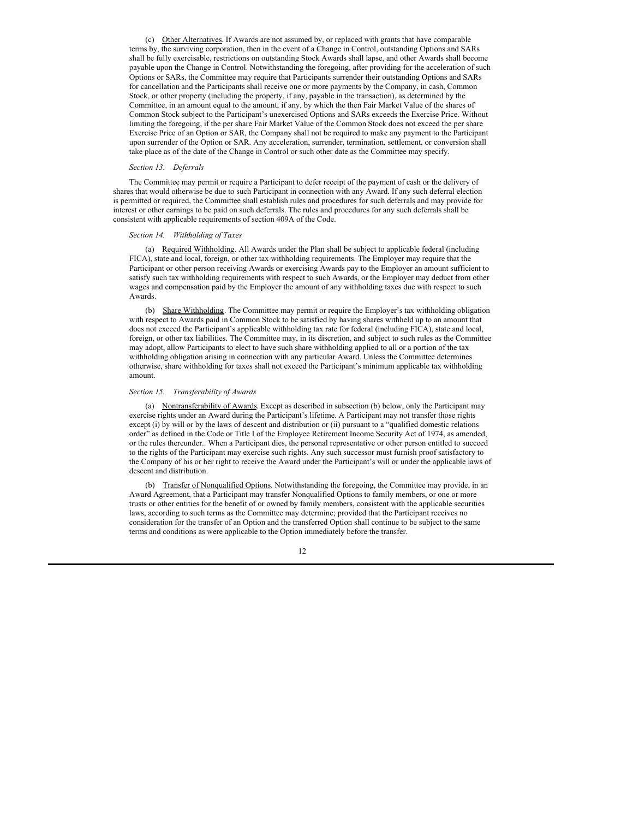(c) Other Alternatives. If Awards are not assumed by, or replaced with grants that have comparable terms by, the surviving corporation, then in the event of a Change in Control, outstanding Options and SARs shall be fully exercisable, restrictions on outstanding Stock Awards shall lapse, and other Awards shall become payable upon the Change in Control. Notwithstanding the foregoing, after providing for the acceleration of such Options or SARs, the Committee may require that Participants surrender their outstanding Options and SARs for cancellation and the Participants shall receive one or more payments by the Company, in cash, Common Stock, or other property (including the property, if any, payable in the transaction), as determined by the Committee, in an amount equal to the amount, if any, by which the then Fair Market Value of the shares of Common Stock subject to the Participant's unexercised Options and SARs exceeds the Exercise Price. Without limiting the foregoing, if the per share Fair Market Value of the Common Stock does not exceed the per share Exercise Price of an Option or SAR, the Company shall not be required to make any payment to the Participant upon surrender of the Option or SAR. Any acceleration, surrender, termination, settlement, or conversion shall take place as of the date of the Change in Control or such other date as the Committee may specify.

#### *Section 13. Deferrals*

The Committee may permit or require a Participant to defer receipt of the payment of cash or the delivery of shares that would otherwise be due to such Participant in connection with any Award. If any such deferral election is permitted or required, the Committee shall establish rules and procedures for such deferrals and may provide for interest or other earnings to be paid on such deferrals. The rules and procedures for any such deferrals shall be consistent with applicable requirements of section 409A of the Code.

# *Section 14. Withholding of Taxes*

(a) Required Withholding. All Awards under the Plan shall be subject to applicable federal (including FICA), state and local, foreign, or other tax withholding requirements. The Employer may require that the Participant or other person receiving Awards or exercising Awards pay to the Employer an amount sufficient to satisfy such tax withholding requirements with respect to such Awards, or the Employer may deduct from other wages and compensation paid by the Employer the amount of any withholding taxes due with respect to such Awards.

(b) Share Withholding. The Committee may permit or require the Employer's tax withholding obligation with respect to Awards paid in Common Stock to be satisfied by having shares withheld up to an amount that does not exceed the Participant's applicable withholding tax rate for federal (including FICA), state and local, foreign, or other tax liabilities. The Committee may, in its discretion, and subject to such rules as the Committee may adopt, allow Participants to elect to have such share withholding applied to all or a portion of the tax withholding obligation arising in connection with any particular Award. Unless the Committee determines otherwise, share withholding for taxes shall not exceed the Participant's minimum applicable tax withholding amount.

#### *Section 15. Transferability of Awards*

(a) Nontransferability of Awards. Except as described in subsection (b) below, only the Participant may exercise rights under an Award during the Participant's lifetime. A Participant may not transfer those rights except (i) by will or by the laws of descent and distribution or (ii) pursuant to a "qualified domestic relations order" as defined in the Code or Title I of the Employee Retirement Income Security Act of 1974, as amended, or the rules thereunder.. When a Participant dies, the personal representative or other person entitled to succeed to the rights of the Participant may exercise such rights. Any such successor must furnish proof satisfactory to the Company of his or her right to receive the Award under the Participant's will or under the applicable laws of descent and distribution.

(b) Transfer of Nonqualified Options. Notwithstanding the foregoing, the Committee may provide, in an Award Agreement, that a Participant may transfer Nonqualified Options to family members, or one or more trusts or other entities for the benefit of or owned by family members, consistent with the applicable securities laws, according to such terms as the Committee may determine; provided that the Participant receives no consideration for the transfer of an Option and the transferred Option shall continue to be subject to the same terms and conditions as were applicable to the Option immediately before the transfer.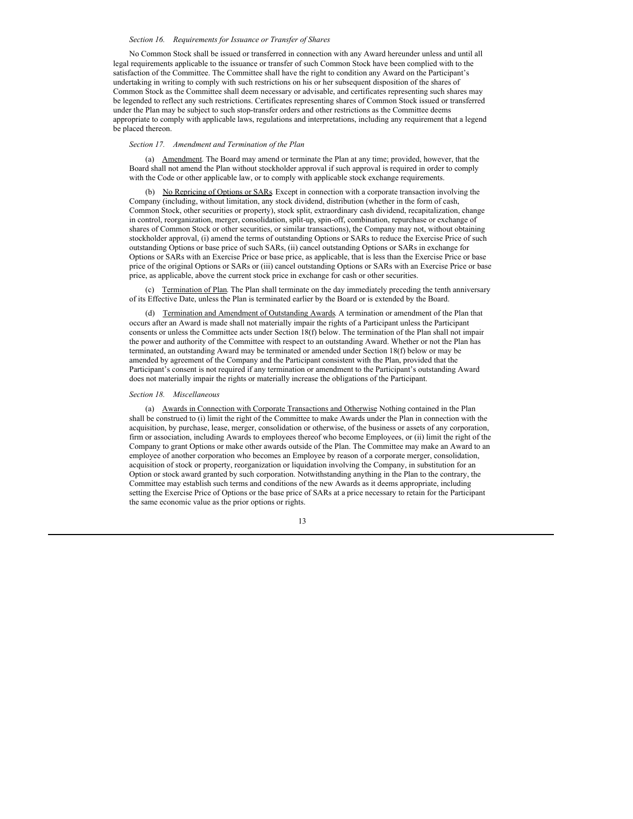#### *Section 16. Requirements for Issuance or Transfer of Shares*

No Common Stock shall be issued or transferred in connection with any Award hereunder unless and until all legal requirements applicable to the issuance or transfer of such Common Stock have been complied with to the satisfaction of the Committee. The Committee shall have the right to condition any Award on the Participant's undertaking in writing to comply with such restrictions on his or her subsequent disposition of the shares of Common Stock as the Committee shall deem necessary or advisable, and certificates representing such shares may be legended to reflect any such restrictions. Certificates representing shares of Common Stock issued or transferred under the Plan may be subject to such stop-transfer orders and other restrictions as the Committee deems appropriate to comply with applicable laws, regulations and interpretations, including any requirement that a legend be placed thereon.

#### *Section 17. Amendment and Termination of the Plan*

(a) Amendment. The Board may amend or terminate the Plan at any time; provided, however, that the Board shall not amend the Plan without stockholder approval if such approval is required in order to comply with the Code or other applicable law, or to comply with applicable stock exchange requirements.

(b) No Repricing of Options or SARs. Except in connection with a corporate transaction involving the Company (including, without limitation, any stock dividend, distribution (whether in the form of cash, Common Stock, other securities or property), stock split, extraordinary cash dividend, recapitalization, change in control, reorganization, merger, consolidation, split-up, spin-off, combination, repurchase or exchange of shares of Common Stock or other securities, or similar transactions), the Company may not, without obtaining stockholder approval, (i) amend the terms of outstanding Options or SARs to reduce the Exercise Price of such outstanding Options or base price of such SARs, (ii) cancel outstanding Options or SARs in exchange for Options or SARs with an Exercise Price or base price, as applicable, that is less than the Exercise Price or base price of the original Options or SARs or (iii) cancel outstanding Options or SARs with an Exercise Price or base price, as applicable, above the current stock price in exchange for cash or other securities.

(c) Termination of Plan. The Plan shall terminate on the day immediately preceding the tenth anniversary of its Effective Date, unless the Plan is terminated earlier by the Board or is extended by the Board.

(d) Termination and Amendment of Outstanding Awards. A termination or amendment of the Plan that occurs after an Award is made shall not materially impair the rights of a Participant unless the Participant consents or unless the Committee acts under Section 18(f) below. The termination of the Plan shall not impair the power and authority of the Committee with respect to an outstanding Award. Whether or not the Plan has terminated, an outstanding Award may be terminated or amended under Section 18(f) below or may be amended by agreement of the Company and the Participant consistent with the Plan, provided that the Participant's consent is not required if any termination or amendment to the Participant's outstanding Award does not materially impair the rights or materially increase the obligations of the Participant.

#### *Section 18. Miscellaneous*

(a) Awards in Connection with Corporate Transactions and Otherwise. Nothing contained in the Plan shall be construed to (i) limit the right of the Committee to make Awards under the Plan in connection with the acquisition, by purchase, lease, merger, consolidation or otherwise, of the business or assets of any corporation, firm or association, including Awards to employees thereof who become Employees, or (ii) limit the right of the Company to grant Options or make other awards outside of the Plan. The Committee may make an Award to an employee of another corporation who becomes an Employee by reason of a corporate merger, consolidation, acquisition of stock or property, reorganization or liquidation involving the Company, in substitution for an Option or stock award granted by such corporation. Notwithstanding anything in the Plan to the contrary, the Committee may establish such terms and conditions of the new Awards as it deems appropriate, including setting the Exercise Price of Options or the base price of SARs at a price necessary to retain for the Participant the same economic value as the prior options or rights.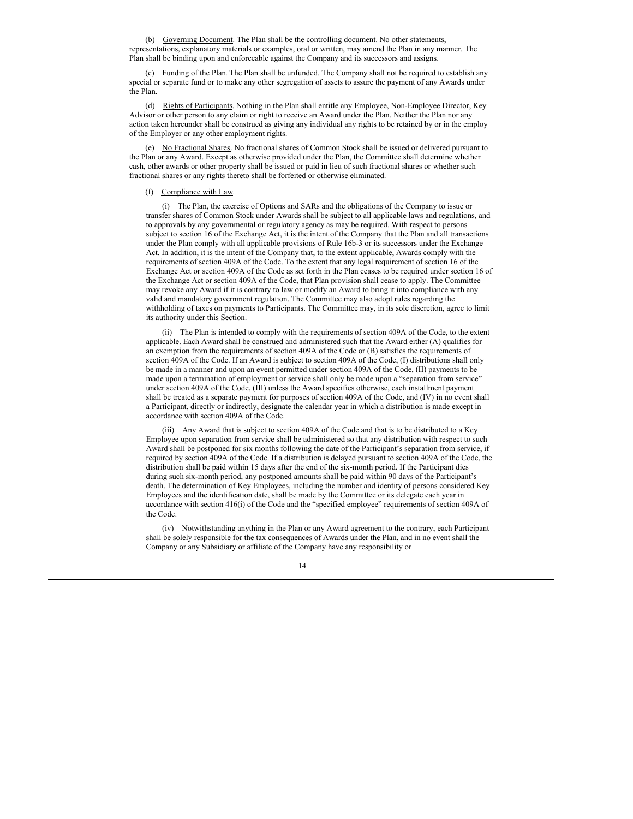(b) Governing Document. The Plan shall be the controlling document. No other statements, representations, explanatory materials or examples, oral or written, may amend the Plan in any manner. The Plan shall be binding upon and enforceable against the Company and its successors and assigns.

(c) Funding of the Plan. The Plan shall be unfunded. The Company shall not be required to establish any special or separate fund or to make any other segregation of assets to assure the payment of any Awards under the Plan.

(d) Rights of Participants. Nothing in the Plan shall entitle any Employee, Non-Employee Director, Key Advisor or other person to any claim or right to receive an Award under the Plan. Neither the Plan nor any action taken hereunder shall be construed as giving any individual any rights to be retained by or in the employ of the Employer or any other employment rights.

(e) No Fractional Shares. No fractional shares of Common Stock shall be issued or delivered pursuant to the Plan or any Award. Except as otherwise provided under the Plan, the Committee shall determine whether cash, other awards or other property shall be issued or paid in lieu of such fractional shares or whether such fractional shares or any rights thereto shall be forfeited or otherwise eliminated.

#### (f) Compliance with Law.

(i) The Plan, the exercise of Options and SARs and the obligations of the Company to issue or transfer shares of Common Stock under Awards shall be subject to all applicable laws and regulations, and to approvals by any governmental or regulatory agency as may be required. With respect to persons subject to section 16 of the Exchange Act, it is the intent of the Company that the Plan and all transactions under the Plan comply with all applicable provisions of Rule 16b-3 or its successors under the Exchange Act. In addition, it is the intent of the Company that, to the extent applicable, Awards comply with the requirements of section 409A of the Code. To the extent that any legal requirement of section 16 of the Exchange Act or section 409A of the Code as set forth in the Plan ceases to be required under section 16 of the Exchange Act or section 409A of the Code, that Plan provision shall cease to apply. The Committee may revoke any Award if it is contrary to law or modify an Award to bring it into compliance with any valid and mandatory government regulation. The Committee may also adopt rules regarding the withholding of taxes on payments to Participants. The Committee may, in its sole discretion, agree to limit its authority under this Section.

(ii) The Plan is intended to comply with the requirements of section 409A of the Code, to the extent applicable. Each Award shall be construed and administered such that the Award either (A) qualifies for an exemption from the requirements of section 409A of the Code or (B) satisfies the requirements of section 409A of the Code. If an Award is subject to section 409A of the Code, (I) distributions shall only be made in a manner and upon an event permitted under section 409A of the Code, (II) payments to be made upon a termination of employment or service shall only be made upon a "separation from service" under section 409A of the Code, (III) unless the Award specifies otherwise, each installment payment shall be treated as a separate payment for purposes of section 409A of the Code, and (IV) in no event shall a Participant, directly or indirectly, designate the calendar year in which a distribution is made except in accordance with section 409A of the Code.

(iii) Any Award that is subject to section 409A of the Code and that is to be distributed to a Key Employee upon separation from service shall be administered so that any distribution with respect to such Award shall be postponed for six months following the date of the Participant's separation from service, if required by section 409A of the Code. If a distribution is delayed pursuant to section 409A of the Code, the distribution shall be paid within 15 days after the end of the six-month period. If the Participant dies during such six-month period, any postponed amounts shall be paid within 90 days of the Participant's death. The determination of Key Employees, including the number and identity of persons considered Key Employees and the identification date, shall be made by the Committee or its delegate each year in accordance with section 416(i) of the Code and the "specified employee" requirements of section 409A of the Code.

(iv) Notwithstanding anything in the Plan or any Award agreement to the contrary, each Participant shall be solely responsible for the tax consequences of Awards under the Plan, and in no event shall the Company or any Subsidiary or affiliate of the Company have any responsibility or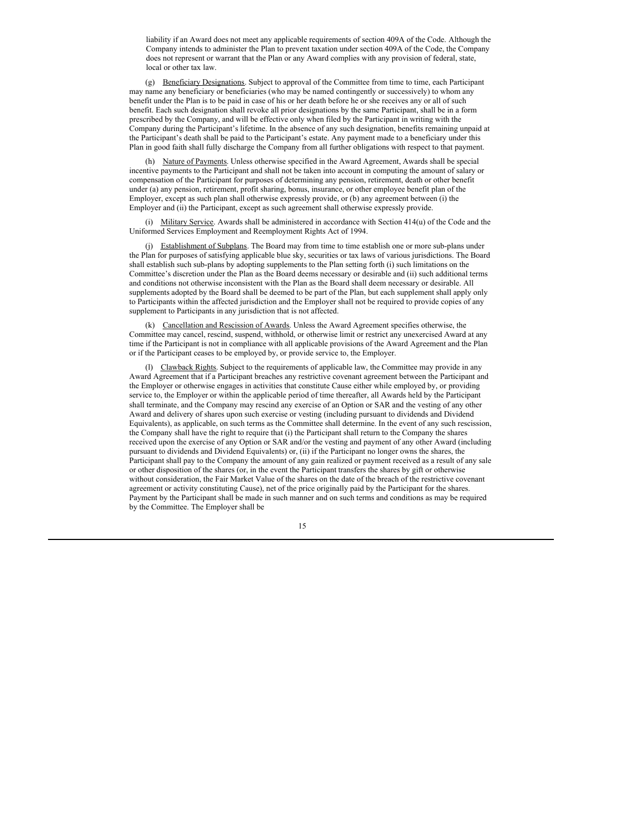liability if an Award does not meet any applicable requirements of section 409A of the Code. Although the Company intends to administer the Plan to prevent taxation under section 409A of the Code, the Company does not represent or warrant that the Plan or any Award complies with any provision of federal, state, local or other tax law.

(g) Beneficiary Designations. Subject to approval of the Committee from time to time, each Participant may name any beneficiary or beneficiaries (who may be named contingently or successively) to whom any benefit under the Plan is to be paid in case of his or her death before he or she receives any or all of such benefit. Each such designation shall revoke all prior designations by the same Participant, shall be in a form prescribed by the Company, and will be effective only when filed by the Participant in writing with the Company during the Participant's lifetime. In the absence of any such designation, benefits remaining unpaid at the Participant's death shall be paid to the Participant's estate. Any payment made to a beneficiary under this Plan in good faith shall fully discharge the Company from all further obligations with respect to that payment.

(h) Nature of Payments. Unless otherwise specified in the Award Agreement, Awards shall be special incentive payments to the Participant and shall not be taken into account in computing the amount of salary or compensation of the Participant for purposes of determining any pension, retirement, death or other benefit under (a) any pension, retirement, profit sharing, bonus, insurance, or other employee benefit plan of the Employer, except as such plan shall otherwise expressly provide, or (b) any agreement between (i) the Employer and (ii) the Participant, except as such agreement shall otherwise expressly provide.

(i) Military Service. Awards shall be administered in accordance with Section 414(u) of the Code and the Uniformed Services Employment and Reemployment Rights Act of 1994.

(j) Establishment of Subplans. The Board may from time to time establish one or more sub-plans under the Plan for purposes of satisfying applicable blue sky, securities or tax laws of various jurisdictions. The Board shall establish such sub-plans by adopting supplements to the Plan setting forth (i) such limitations on the Committee's discretion under the Plan as the Board deems necessary or desirable and (ii) such additional terms and conditions not otherwise inconsistent with the Plan as the Board shall deem necessary or desirable. All supplements adopted by the Board shall be deemed to be part of the Plan, but each supplement shall apply only to Participants within the affected jurisdiction and the Employer shall not be required to provide copies of any supplement to Participants in any jurisdiction that is not affected.

(k) Cancellation and Rescission of Awards. Unless the Award Agreement specifies otherwise, the Committee may cancel, rescind, suspend, withhold, or otherwise limit or restrict any unexercised Award at any time if the Participant is not in compliance with all applicable provisions of the Award Agreement and the Plan or if the Participant ceases to be employed by, or provide service to, the Employer.

(l) Clawback Rights. Subject to the requirements of applicable law, the Committee may provide in any Award Agreement that if a Participant breaches any restrictive covenant agreement between the Participant and the Employer or otherwise engages in activities that constitute Cause either while employed by, or providing service to, the Employer or within the applicable period of time thereafter, all Awards held by the Participant shall terminate, and the Company may rescind any exercise of an Option or SAR and the vesting of any other Award and delivery of shares upon such exercise or vesting (including pursuant to dividends and Dividend Equivalents), as applicable, on such terms as the Committee shall determine. In the event of any such rescission, the Company shall have the right to require that (i) the Participant shall return to the Company the shares received upon the exercise of any Option or SAR and/or the vesting and payment of any other Award (including pursuant to dividends and Dividend Equivalents) or, (ii) if the Participant no longer owns the shares, the Participant shall pay to the Company the amount of any gain realized or payment received as a result of any sale or other disposition of the shares (or, in the event the Participant transfers the shares by gift or otherwise without consideration, the Fair Market Value of the shares on the date of the breach of the restrictive covenant agreement or activity constituting Cause), net of the price originally paid by the Participant for the shares. Payment by the Participant shall be made in such manner and on such terms and conditions as may be required by the Committee. The Employer shall be